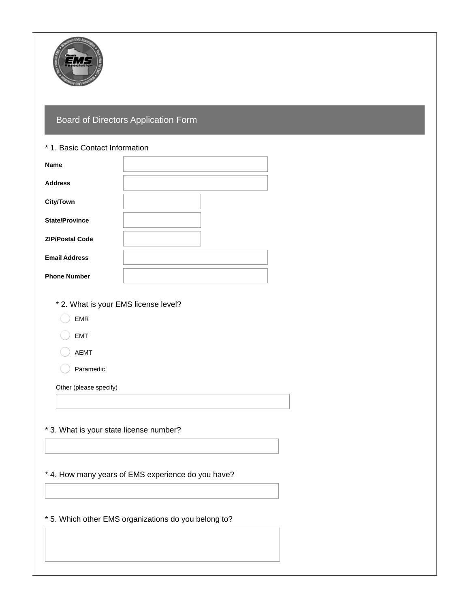

## Board of Directors Application Form

## \* 1. Basic Contact Information

| <b>Name</b>            |  |
|------------------------|--|
| <b>Address</b>         |  |
| <b>City/Town</b>       |  |
| <b>State/Province</b>  |  |
| <b>ZIP/Postal Code</b> |  |
| <b>Email Address</b>   |  |
| <b>Phone Number</b>    |  |

- \* 2. What is your EMS license level?
	- EMR
	- EMT
	- AEMT

Paramedic

Other (please specify)

\* 3. What is your state license number?

\* 4. How many years of EMS experience do you have?

\* 5. Which other EMS organizations do you belong to?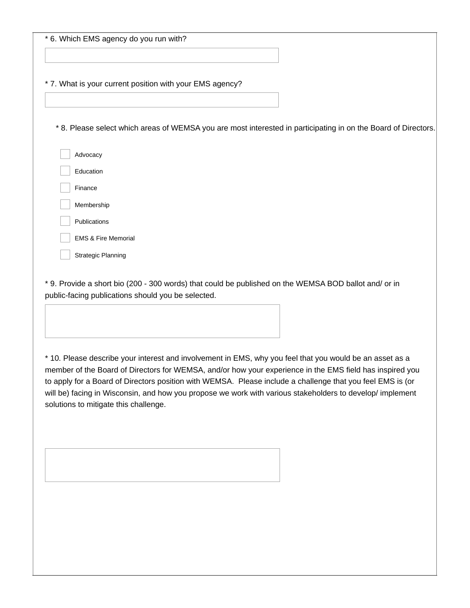|  |  |  |  |  | * 6. Which EMS agency do you run with? |
|--|--|--|--|--|----------------------------------------|
|--|--|--|--|--|----------------------------------------|

\* 7. What is your current position with your EMS agency?

\* 8. Please select which areas of WEMSA you are most interested in participating in on the Board of Directors.

| Advocacy                       |
|--------------------------------|
| <b>Education</b>               |
| Finance                        |
| Membership                     |
| Publications                   |
| <b>EMS &amp; Fire Memorial</b> |
| <b>Strategic Planning</b>      |

\* 9. Provide a short bio (200 - 300 words) that could be published on the WEMSA BOD ballot and/ or in public-facing publications should you be selected.

\* 10. Please describe your interest and involvement in EMS, why you feel that you would be an asset as a member of the Board of Directors for WEMSA, and/or how your experience in the EMS field has inspired you to apply for a Board of Directors position with WEMSA. Please include a challenge that you feel EMS is (or will be) facing in Wisconsin, and how you propose we work with various stakeholders to develop/ implement solutions to mitigate this challenge.